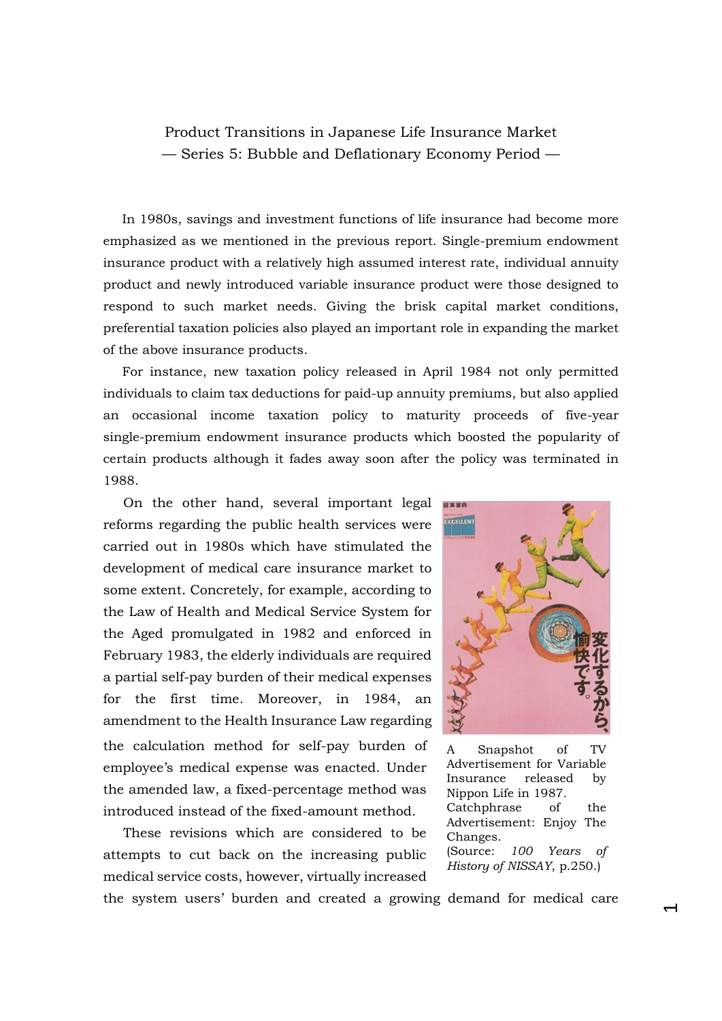Product Transitions in Japanese Life Insurance Market — Series 5: Bubble and Deflationary Economy Period —

 In 1980s, savings and investment functions of life insurance had become more emphasized as we mentioned in the previous report. Single-premium endowment insurance product with a relatively high assumed interest rate, individual annuity product and newly introduced variable insurance product were those designed to respond to such market needs. Giving the brisk capital market conditions, preferential taxation policies also played an important role in expanding the market of the above insurance products.

For instance, new taxation policy released in April 1984 not only permitted individuals to claim tax deductions for paid-up annuity premiums, but also applied an occasional income taxation policy to maturity proceeds of five-year single-premium endowment insurance products which boosted the popularity of certain products although it fades away soon after the policy was terminated in 1988.

On the other hand, several important legal reforms regarding the public health services were carried out in 1980s which have stimulated the development of medical care insurance market to some extent. Concretely, for example, according to the Law of Health and Medical Service System for the Aged promulgated in 1982 and enforced in February 1983, the elderly individuals are required a partial self-pay burden of their medical expenses for the first time. Moreover, in 1984, an amendment to the Health Insurance Law regarding the calculation method for self-pay burden of employee's medical expense was enacted. Under the amended law, a fixed-percentage method was introduced instead of the fixed-amount method.

These revisions which are considered to be attempts to cut back on the increasing public medical service costs, however, virtually increased



A Snapshot of TV Advertisement for Variable Insurance released by Nippon Life in 1987. Catchphrase of the Advertisement: Enjoy The Changes. (Source: *100 Years of History of NISSAY*, p.250.)

 $\overline{\phantom{0}}$ 

the system users' burden and created a growing demand for medical care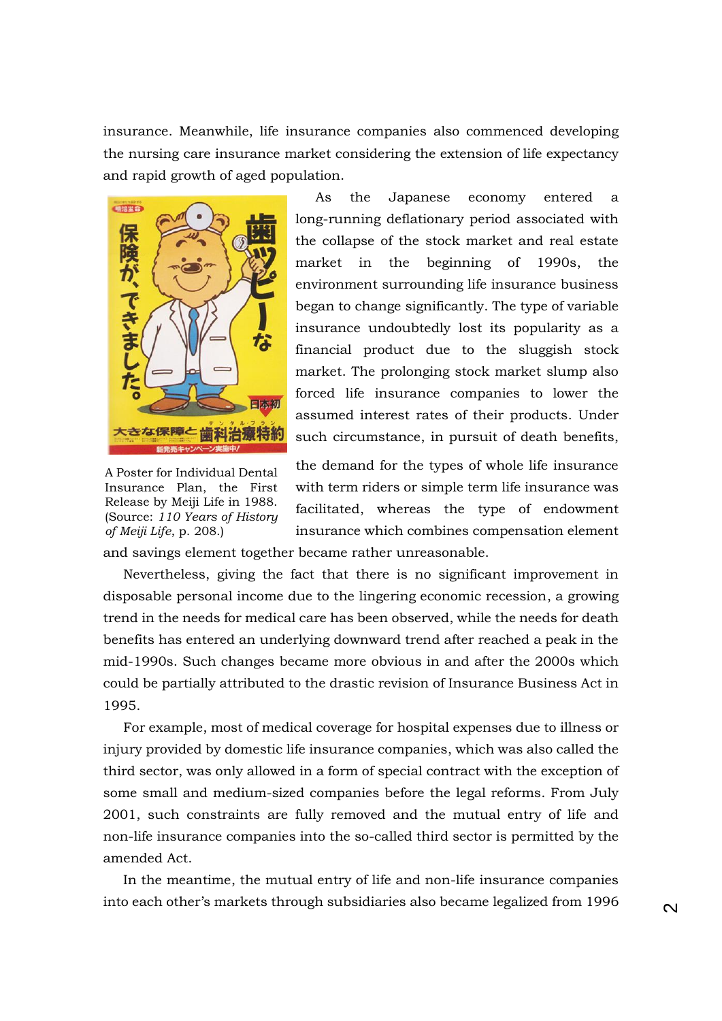insurance. Meanwhile, life insurance companies also commenced developing the nursing care insurance market considering the extension of life expectancy and rapid growth of aged population.



A Poster for Individual Dental Insurance Plan, the First Release by Meiji Life in 1988. (Source: *110 Years of History of Meiji Life*, p. 208.)

As the Japanese economy entered a long-running deflationary period associated with the collapse of the stock market and real estate market in the beginning of 1990s, the environment surrounding life insurance business began to change significantly. The type of variable insurance undoubtedly lost its popularity as a financial product due to the sluggish stock market. The prolonging stock market slump also forced life insurance companies to lower the assumed interest rates of their products. Under such circumstance, in pursuit of death benefits,

the demand for the types of whole life insurance with term riders or simple term life insurance was facilitated, whereas the type of endowment insurance which combines compensation element

and savings element together became rather unreasonable.

Nevertheless, giving the fact that there is no significant improvement in disposable personal income due to the lingering economic recession, a growing trend in the needs for medical care has been observed, while the needs for death benefits has entered an underlying downward trend after reached a peak in the mid-1990s. Such changes became more obvious in and after the 2000s which could be partially attributed to the drastic revision of Insurance Business Act in 1995.

For example, most of medical coverage for hospital expenses due to illness or injury provided by domestic life insurance companies, which was also called the third sector, was only allowed in a form of special contract with the exception of some small and medium-sized companies before the legal reforms. From July 2001, such constraints are fully removed and the mutual entry of life and non-life insurance companies into the so-called third sector is permitted by the amended Act.

In the meantime, the mutual entry of life and non-life insurance companies into each other's markets through subsidiaries also became legalized from 1996